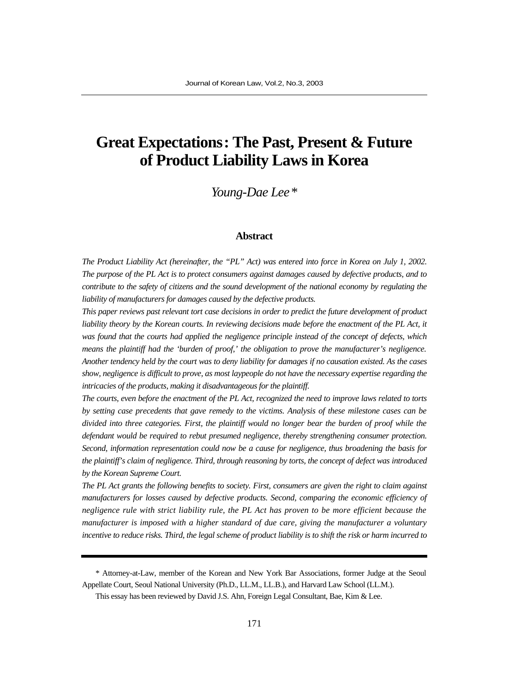# **Great Expectations: The Past, Present & Future of Product Liability Laws in Korea**

*Young-Dae Lee\**

#### **Abstract**

*The Product Liability Act (hereinafter, the "PL" Act) was entered into force in Korea on July 1, 2002. The purpose of the PL Act is to protect consumers against damages caused by defective products, and to contribute to the safety of citizens and the sound development of the national economy by regulating the liability of manufacturers for damages caused by the defective products.* 

*This paper reviews past relevant tort case decisions in order to predict the future development of product liability theory by the Korean courts. In reviewing decisions made before the enactment of the PL Act, it was found that the courts had applied the negligence principle instead of the concept of defects, which means the plaintiff had the 'burden of proof,' the obligation to prove the manufacturer's negligence. Another tendency held by the court was to deny liability for damages if no causation existed. As the cases show, negligence is difficult to prove, as most laypeople do not have the necessary expertise regarding the intricacies of the products, making it disadvantageous for the plaintiff.* 

*The courts, even before the enactment of the PL Act, recognized the need to improve laws related to torts by setting case precedents that gave remedy to the victims. Analysis of these milestone cases can be divided into three categories. First, the plaintiff would no longer bear the burden of proof while the defendant would be required to rebut presumed negligence, thereby strengthening consumer protection. Second, information representation could now be a cause for negligence, thus broadening the basis for the plaintiff's claim of negligence. Third, through reasoning by torts, the concept of defect was introduced by the Korean Supreme Court.* 

*The PL Act grants the following benefits to society. First, consumers are given the right to claim against manufacturers for losses caused by defective products. Second, comparing the economic efficiency of negligence rule with strict liability rule, the PL Act has proven to be more efficient because the manufacturer is imposed with a higher standard of due care, giving the manufacturer a voluntary incentive to reduce risks. Third, the legal scheme of product liability is to shift the risk or harm incurred to*

<sup>\*</sup> Attorney-at-Law, member of the Korean and New York Bar Associations, former Judge at the Seoul Appellate Court, Seoul National University (Ph.D., LL.M., LL.B.), and Harvard Law School (LL.M.).

This essay has been reviewed by David J.S. Ahn, Foreign Legal Consultant, Bae, Kim & Lee.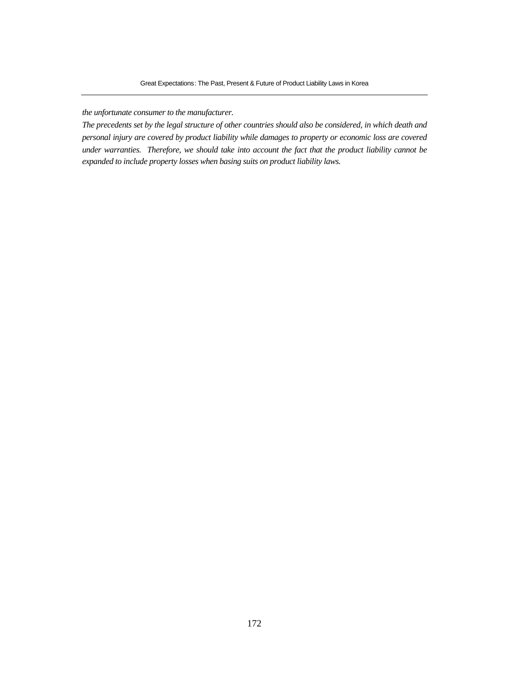#### *the unfortunate consumer to the manufacturer.*

*The precedents set by the legal structure of other countries should also be considered, in which death and personal injury are covered by product liability while damages to property or economic loss are covered under warranties. Therefore, we should take into account the fact that the product liability cannot be expanded to include property losses when basing suits on product liability laws.*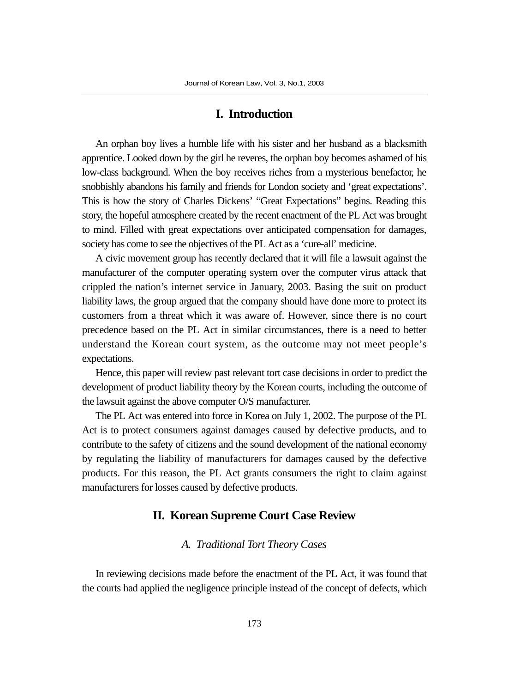### **I. Introduction**

An orphan boy lives a humble life with his sister and her husband as a blacksmith apprentice. Looked down by the girl he reveres, the orphan boy becomes ashamed of his low-class background. When the boy receives riches from a mysterious benefactor, he snobbishly abandons his family and friends for London society and 'great expectations'. This is how the story of Charles Dickens' "Great Expectations" begins. Reading this story, the hopeful atmosphere created by the recent enactment of the PL Act was brought to mind. Filled with great expectations over anticipated compensation for damages, society has come to see the objectives of the PL Act as a 'cure-all' medicine.

A civic movement group has recently declared that it will file a lawsuit against the manufacturer of the computer operating system over the computer virus attack that crippled the nation's internet service in January, 2003. Basing the suit on product liability laws, the group argued that the company should have done more to protect its customers from a threat which it was aware of. However, since there is no court precedence based on the PL Act in similar circumstances, there is a need to better understand the Korean court system, as the outcome may not meet people's expectations.

Hence, this paper will review past relevant tort case decisions in order to predict the development of product liability theory by the Korean courts, including the outcome of the lawsuit against the above computer O/S manufacturer.

The PL Act was entered into force in Korea on July 1, 2002. The purpose of the PL Act is to protect consumers against damages caused by defective products, and to contribute to the safety of citizens and the sound development of the national economy by regulating the liability of manufacturers for damages caused by the defective products. For this reason, the PL Act grants consumers the right to claim against manufacturers for losses caused by defective products.

# **II. Korean Supreme Court Case Review**

#### *A. Traditional Tort Theory Cases*

In reviewing decisions made before the enactment of the PL Act, it was found that the courts had applied the negligence principle instead of the concept of defects, which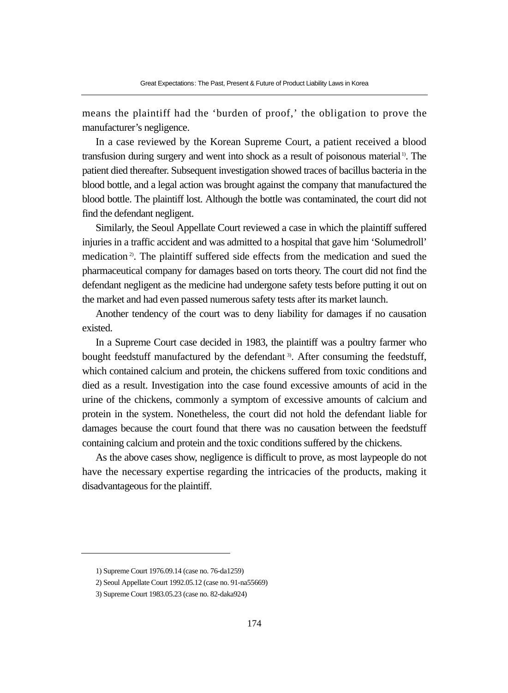means the plaintiff had the 'burden of proof,' the obligation to prove the manufacturer's negligence.

In a case reviewed by the Korean Supreme Court, a patient received a blood transfusion during surgery and went into shock as a result of poisonous material 1). The patient died thereafter. Subsequent investigation showed traces of bacillus bacteria in the blood bottle, and a legal action was brought against the company that manufactured the blood bottle. The plaintiff lost. Although the bottle was contaminated, the court did not find the defendant negligent.

Similarly, the Seoul Appellate Court reviewed a case in which the plaintiff suffered injuries in a traffic accident and was admitted to a hospital that gave him 'Solumedroll' medication 2). The plaintiff suffered side effects from the medication and sued the pharmaceutical company for damages based on torts theory. The court did not find the defendant negligent as the medicine had undergone safety tests before putting it out on the market and had even passed numerous safety tests after its market launch.

Another tendency of the court was to deny liability for damages if no causation existed.

In a Supreme Court case decided in 1983, the plaintiff was a poultry farmer who bought feedstuff manufactured by the defendant 3). After consuming the feedstuff, which contained calcium and protein, the chickens suffered from toxic conditions and died as a result. Investigation into the case found excessive amounts of acid in the urine of the chickens, commonly a symptom of excessive amounts of calcium and protein in the system. Nonetheless, the court did not hold the defendant liable for damages because the court found that there was no causation between the feedstuff containing calcium and protein and the toxic conditions suffered by the chickens.

As the above cases show, negligence is difficult to prove, as most laypeople do not have the necessary expertise regarding the intricacies of the products, making it disadvantageous for the plaintiff.

<sup>1)</sup> Supreme Court 1976.09.14 (case no. 76-da1259)

<sup>2)</sup> Seoul Appellate Court 1992.05.12 (case no. 91-na55669)

<sup>3)</sup> Supreme Court 1983.05.23 (case no. 82-daka924)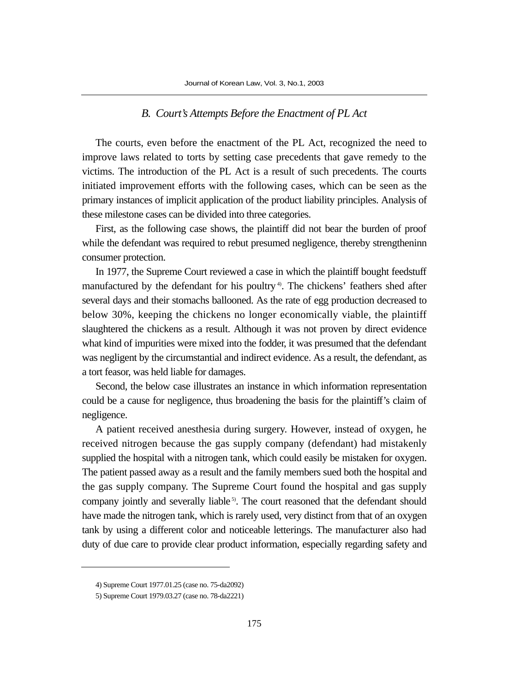#### *B. Court's Attempts Before the Enactment of PL Act*

The courts, even before the enactment of the PL Act, recognized the need to improve laws related to torts by setting case precedents that gave remedy to the victims. The introduction of the PL Act is a result of such precedents. The courts initiated improvement efforts with the following cases, which can be seen as the primary instances of implicit application of the product liability principles. Analysis of these milestone cases can be divided into three categories.

First, as the following case shows, the plaintiff did not bear the burden of proof while the defendant was required to rebut presumed negligence, thereby strengtheninn consumer protection.

In 1977, the Supreme Court reviewed a case in which the plaintiff bought feedstuff manufactured by the defendant for his poultry<sup>4</sup>. The chickens' feathers shed after several days and their stomachs ballooned. As the rate of egg production decreased to below 30%, keeping the chickens no longer economically viable, the plaintiff slaughtered the chickens as a result. Although it was not proven by direct evidence what kind of impurities were mixed into the fodder, it was presumed that the defendant was negligent by the circumstantial and indirect evidence. As a result, the defendant, as a tort feasor, was held liable for damages.

Second, the below case illustrates an instance in which information representation could be a cause for negligence, thus broadening the basis for the plaintiff's claim of negligence.

A patient received anesthesia during surgery. However, instead of oxygen, he received nitrogen because the gas supply company (defendant) had mistakenly supplied the hospital with a nitrogen tank, which could easily be mistaken for oxygen. The patient passed away as a result and the family members sued both the hospital and the gas supply company. The Supreme Court found the hospital and gas supply company jointly and severally liable<sup>5)</sup>. The court reasoned that the defendant should have made the nitrogen tank, which is rarely used, very distinct from that of an oxygen tank by using a different color and noticeable letterings. The manufacturer also had duty of due care to provide clear product information, especially regarding safety and

<sup>4)</sup> Supreme Court 1977.01.25 (case no. 75-da2092)

<sup>5)</sup> Supreme Court 1979.03.27 (case no. 78-da2221)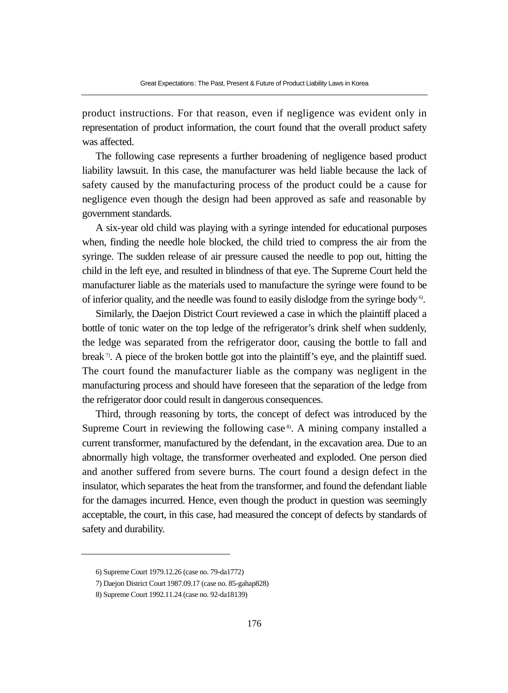product instructions. For that reason, even if negligence was evident only in representation of product information, the court found that the overall product safety was affected.

The following case represents a further broadening of negligence based product liability lawsuit. In this case, the manufacturer was held liable because the lack of safety caused by the manufacturing process of the product could be a cause for negligence even though the design had been approved as safe and reasonable by government standards.

A six-year old child was playing with a syringe intended for educational purposes when, finding the needle hole blocked, the child tried to compress the air from the syringe. The sudden release of air pressure caused the needle to pop out, hitting the child in the left eye, and resulted in blindness of that eye. The Supreme Court held the manufacturer liable as the materials used to manufacture the syringe were found to be of inferior quality, and the needle was found to easily dislodge from the syringe body<sup>6</sup>.

Similarly, the Daejon District Court reviewed a case in which the plaintiff placed a bottle of tonic water on the top ledge of the refrigerator's drink shelf when suddenly, the ledge was separated from the refrigerator door, causing the bottle to fall and break <sup>7</sup>. A piece of the broken bottle got into the plaintiff's eye, and the plaintiff sued. The court found the manufacturer liable as the company was negligent in the manufacturing process and should have foreseen that the separation of the ledge from the refrigerator door could result in dangerous consequences.

Third, through reasoning by torts, the concept of defect was introduced by the Supreme Court in reviewing the following case<sup>8</sup>. A mining company installed a current transformer, manufactured by the defendant, in the excavation area. Due to an abnormally high voltage, the transformer overheated and exploded. One person died and another suffered from severe burns. The court found a design defect in the insulator, which separates the heat from the transformer, and found the defendant liable for the damages incurred. Hence, even though the product in question was seemingly acceptable, the court, in this case, had measured the concept of defects by standards of safety and durability.

<sup>6)</sup> Supreme Court 1979.12.26 (case no. 79-da1772)

<sup>7)</sup> Daejon District Court 1987.09.17 (case no. 85-gahap828)

<sup>8)</sup> Supreme Court 1992.11.24 (case no. 92-da18139)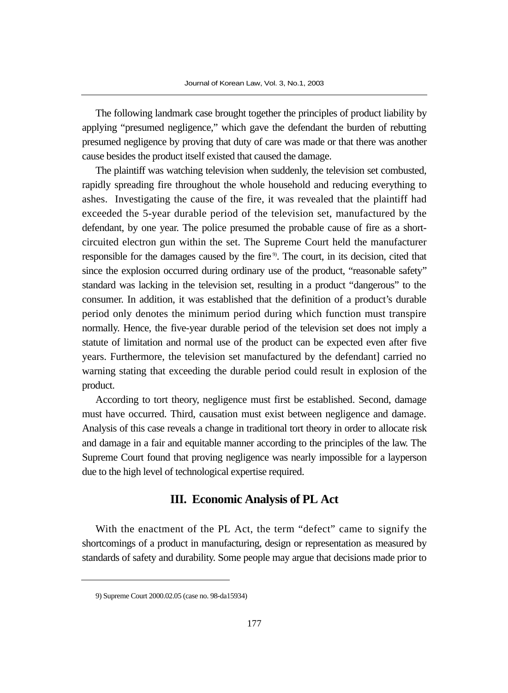The following landmark case brought together the principles of product liability by applying "presumed negligence," which gave the defendant the burden of rebutting presumed negligence by proving that duty of care was made or that there was another cause besides the product itself existed that caused the damage.

The plaintiff was watching television when suddenly, the television set combusted, rapidly spreading fire throughout the whole household and reducing everything to ashes. Investigating the cause of the fire, it was revealed that the plaintiff had exceeded the 5-year durable period of the television set, manufactured by the defendant, by one year. The police presumed the probable cause of fire as a shortcircuited electron gun within the set. The Supreme Court held the manufacturer responsible for the damages caused by the fire<sup>9</sup>. The court, in its decision, cited that since the explosion occurred during ordinary use of the product, "reasonable safety" standard was lacking in the television set, resulting in a product "dangerous" to the consumer. In addition, it was established that the definition of a product's durable period only denotes the minimum period during which function must transpire normally. Hence, the five-year durable period of the television set does not imply a statute of limitation and normal use of the product can be expected even after five years. Furthermore, the television set manufactured by the defendant] carried no warning stating that exceeding the durable period could result in explosion of the product.

According to tort theory, negligence must first be established. Second, damage must have occurred. Third, causation must exist between negligence and damage. Analysis of this case reveals a change in traditional tort theory in order to allocate risk and damage in a fair and equitable manner according to the principles of the law. The Supreme Court found that proving negligence was nearly impossible for a layperson due to the high level of technological expertise required.

## **III. Economic Analysis of PL Act**

With the enactment of the PL Act, the term "defect" came to signify the shortcomings of a product in manufacturing, design or representation as measured by standards of safety and durability. Some people may argue that decisions made prior to

<sup>9)</sup> Supreme Court 2000.02.05 (case no. 98-da15934)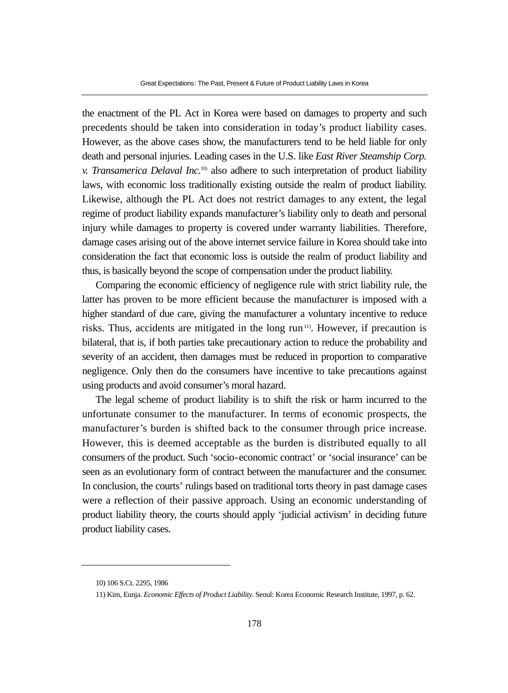the enactment of the PL Act in Korea were based on damages to property and such precedents should be taken into consideration in today's product liability cases. However, as the above cases show, the manufacturers tend to be held liable for only death and personal injuries. Leading cases in the U.S. like *East River Steamship Corp. v. Transamerica Delaval Inc.*10) also adhere to such interpretation of product liability laws, with economic loss traditionally existing outside the realm of product liability. Likewise, although the PL Act does not restrict damages to any extent, the legal regime of product liability expands manufacturer's liability only to death and personal injury while damages to property is covered under warranty liabilities. Therefore, damage cases arising out of the above internet service failure in Korea should take into consideration the fact that economic loss is outside the realm of product liability and thus, is basically beyond the scope of compensation under the product liability.

Comparing the economic efficiency of negligence rule with strict liability rule, the latter has proven to be more efficient because the manufacturer is imposed with a higher standard of due care, giving the manufacturer a voluntary incentive to reduce risks. Thus, accidents are mitigated in the long  $run<sup>11</sup>$ . However, if precaution is bilateral, that is, if both parties take precautionary action to reduce the probability and severity of an accident, then damages must be reduced in proportion to comparative negligence. Only then do the consumers have incentive to take precautions against using products and avoid consumer's moral hazard.

The legal scheme of product liability is to shift the risk or harm incurred to the unfortunate consumer to the manufacturer. In terms of economic prospects, the manufacturer's burden is shifted back to the consumer through price increase. However, this is deemed acceptable as the burden is distributed equally to all consumers of the product. Such 'socio-economic contract' or 'social insurance' can be seen as an evolutionary form of contract between the manufacturer and the consumer. In conclusion, the courts' rulings based on traditional torts theory in past damage cases were a reflection of their passive approach. Using an economic understanding of product liability theory, the courts should apply 'judicial activism' in deciding future product liability cases.

<sup>10) 106</sup> S.Ct. 2295, 1986

<sup>11)</sup> Kim, Eunja. *Economic Effects of Product Liability*. Seoul: Korea Economic Research Institute, 1997, p. 62.